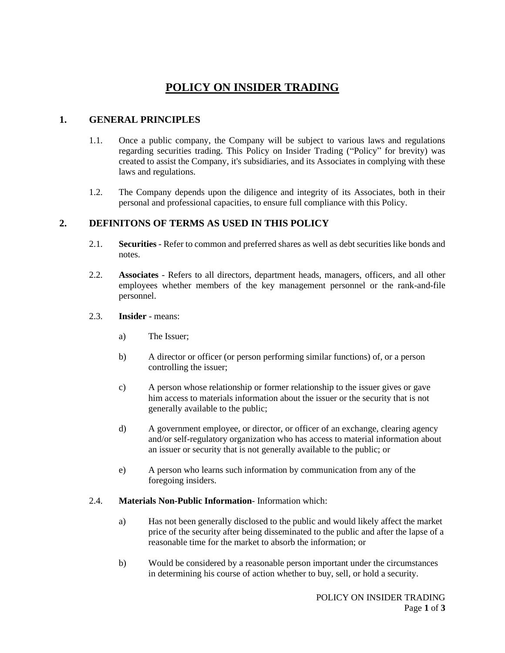# **POLICY ON INSIDER TRADING**

# **1. GENERAL PRINCIPLES**

- 1.1. Once a public company, the Company will be subject to various laws and regulations regarding securities trading. This Policy on Insider Trading ("Policy" for brevity) was created to assist the Company, it's subsidiaries, and its Associates in complying with these laws and regulations.
- 1.2. The Company depends upon the diligence and integrity of its Associates, both in their personal and professional capacities, to ensure full compliance with this Policy.

### **2. DEFINITONS OF TERMS AS USED IN THIS POLICY**

- 2.1. **Securities** Refer to common and preferred shares as well as debt securities like bonds and notes.
- 2.2. **Associates** Refers to all directors, department heads, managers, officers, and all other employees whether members of the key management personnel or the rank-and-file personnel.
- 2.3. **Insider** means:
	- a) The Issuer;
	- b) A director or officer (or person performing similar functions) of, or a person controlling the issuer;
	- c) A person whose relationship or former relationship to the issuer gives or gave him access to materials information about the issuer or the security that is not generally available to the public;
	- d) A government employee, or director, or officer of an exchange, clearing agency and/or self-regulatory organization who has access to material information about an issuer or security that is not generally available to the public; or
	- e) A person who learns such information by communication from any of the foregoing insiders.

#### 2.4. **Materials Non-Public Information**- Information which:

- a) Has not been generally disclosed to the public and would likely affect the market price of the security after being disseminated to the public and after the lapse of a reasonable time for the market to absorb the information; or
- b) Would be considered by a reasonable person important under the circumstances in determining his course of action whether to buy, sell, or hold a security.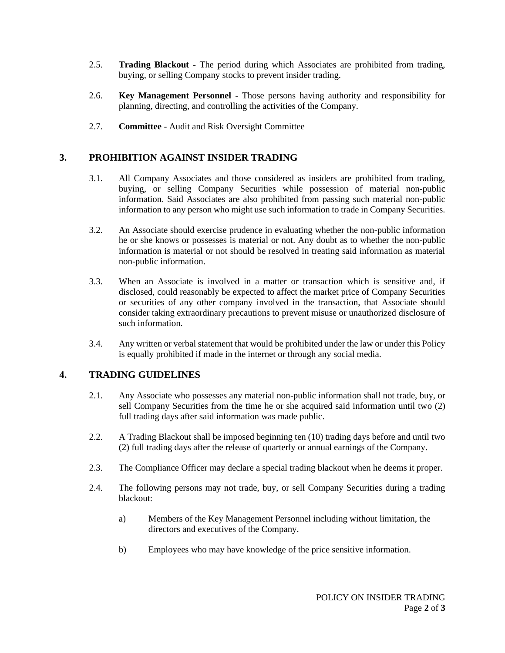- 2.5. **Trading Blackout** The period during which Associates are prohibited from trading, buying, or selling Company stocks to prevent insider trading.
- 2.6. **Key Management Personnel** Those persons having authority and responsibility for planning, directing, and controlling the activities of the Company.
- 2.7. **Committee** Audit and Risk Oversight Committee

### **3. PROHIBITION AGAINST INSIDER TRADING**

- 3.1. All Company Associates and those considered as insiders are prohibited from trading, buying, or selling Company Securities while possession of material non-public information. Said Associates are also prohibited from passing such material non-public information to any person who might use such information to trade in Company Securities.
- 3.2. An Associate should exercise prudence in evaluating whether the non-public information he or she knows or possesses is material or not. Any doubt as to whether the non-public information is material or not should be resolved in treating said information as material non-public information.
- 3.3. When an Associate is involved in a matter or transaction which is sensitive and, if disclosed, could reasonably be expected to affect the market price of Company Securities or securities of any other company involved in the transaction, that Associate should consider taking extraordinary precautions to prevent misuse or unauthorized disclosure of such information.
- 3.4. Any written or verbal statement that would be prohibited under the law or under this Policy is equally prohibited if made in the internet or through any social media.

#### **4. TRADING GUIDELINES**

- 2.1. Any Associate who possesses any material non-public information shall not trade, buy, or sell Company Securities from the time he or she acquired said information until two (2) full trading days after said information was made public.
- 2.2. A Trading Blackout shall be imposed beginning ten (10) trading days before and until two (2) full trading days after the release of quarterly or annual earnings of the Company.
- 2.3. The Compliance Officer may declare a special trading blackout when he deems it proper.
- 2.4. The following persons may not trade, buy, or sell Company Securities during a trading blackout:
	- a) Members of the Key Management Personnel including without limitation, the directors and executives of the Company.
	- b) Employees who may have knowledge of the price sensitive information.